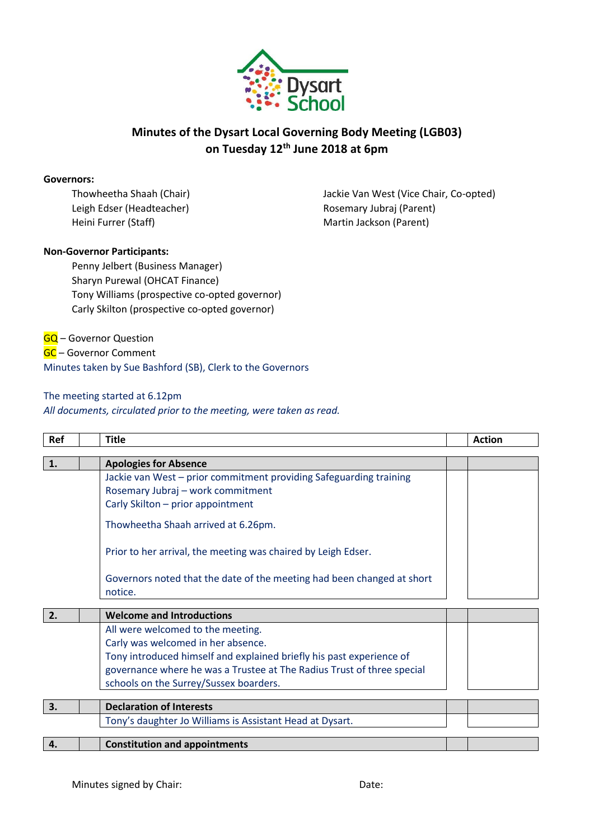

## **Minutes of the Dysart Local Governing Body Meeting (LGB03) on Tuesday 12th June 2018 at 6pm**

#### **Governors:**

Leigh Edser (Headteacher) Manuel Rosemary Jubraj (Parent) Heini Furrer (Staff) Martin Jackson (Parent)

Thowheetha Shaah (Chair) Jackie Van West (Vice Chair, Co-opted)

### **Non-Governor Participants:**

Penny Jelbert (Business Manager) Sharyn Purewal (OHCAT Finance) Tony Williams (prospective co-opted governor) Carly Skilton (prospective co-opted governor)

GQ – Governor Question GC – Governor Comment Minutes taken by Sue Bashford (SB), Clerk to the Governors

#### The meeting started at 6.12pm

*All documents, circulated prior to the meeting, were taken as read.* 

| Ref              | <b>Title</b>                                                           | <b>Action</b> |
|------------------|------------------------------------------------------------------------|---------------|
| 1.               | <b>Apologies for Absence</b>                                           |               |
|                  |                                                                        |               |
|                  | Jackie van West - prior commitment providing Safeguarding training     |               |
|                  | Rosemary Jubraj - work commitment                                      |               |
|                  | Carly Skilton - prior appointment                                      |               |
|                  | Thowheetha Shaah arrived at 6.26pm.                                    |               |
|                  | Prior to her arrival, the meeting was chaired by Leigh Edser.          |               |
|                  | Governors noted that the date of the meeting had been changed at short |               |
|                  | notice.                                                                |               |
| $\overline{2}$ . | <b>Welcome and Introductions</b>                                       |               |
|                  | All were welcomed to the meeting.                                      |               |
|                  | Carly was welcomed in her absence.                                     |               |
|                  | Tony introduced himself and explained briefly his past experience of   |               |
|                  | governance where he was a Trustee at The Radius Trust of three special |               |
|                  | schools on the Surrey/Sussex boarders.                                 |               |
|                  |                                                                        |               |
| 3.               | <b>Declaration of Interests</b>                                        |               |
|                  | Tony's daughter Jo Williams is Assistant Head at Dysart.               |               |
|                  |                                                                        |               |
| 4.               | <b>Constitution and appointments</b>                                   |               |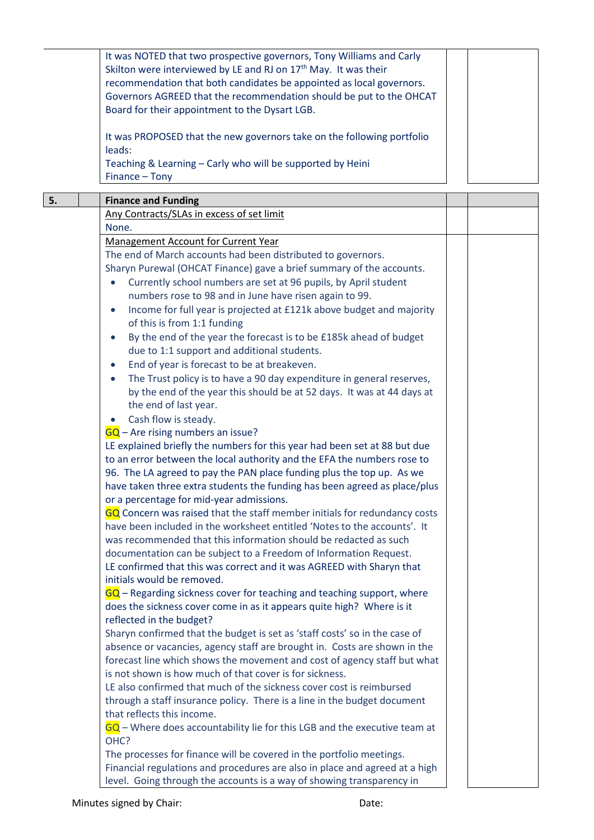|    | It was NOTED that two prospective governors, Tony Williams and Carly         |  |
|----|------------------------------------------------------------------------------|--|
|    | Skilton were interviewed by LE and RJ on 17 <sup>th</sup> May. It was their  |  |
|    | recommendation that both candidates be appointed as local governors.         |  |
|    |                                                                              |  |
|    | Governors AGREED that the recommendation should be put to the OHCAT          |  |
|    | Board for their appointment to the Dysart LGB.                               |  |
|    |                                                                              |  |
|    |                                                                              |  |
|    | It was PROPOSED that the new governors take on the following portfolio       |  |
|    | leads:                                                                       |  |
|    | Teaching & Learning - Carly who will be supported by Heini                   |  |
|    | Finance - Tony                                                               |  |
|    |                                                                              |  |
| 5. | <b>Finance and Funding</b>                                                   |  |
|    | Any Contracts/SLAs in excess of set limit                                    |  |
|    |                                                                              |  |
|    | None.                                                                        |  |
|    | <b>Management Account for Current Year</b>                                   |  |
|    | The end of March accounts had been distributed to governors.                 |  |
|    | Sharyn Purewal (OHCAT Finance) gave a brief summary of the accounts.         |  |
|    |                                                                              |  |
|    | Currently school numbers are set at 96 pupils, by April student<br>$\bullet$ |  |
|    | numbers rose to 98 and in June have risen again to 99.                       |  |
|    | Income for full year is projected at £121k above budget and majority         |  |
|    | of this is from 1:1 funding                                                  |  |
|    | By the end of the year the forecast is to be £185k ahead of budget           |  |
|    |                                                                              |  |
|    | due to 1:1 support and additional students.                                  |  |
|    | End of year is forecast to be at breakeven.                                  |  |
|    | The Trust policy is to have a 90 day expenditure in general reserves,        |  |
|    | by the end of the year this should be at 52 days. It was at 44 days at       |  |
|    |                                                                              |  |
|    | the end of last year.                                                        |  |
|    | Cash flow is steady.                                                         |  |
|    | $GQ$ – Are rising numbers an issue?                                          |  |
|    | LE explained briefly the numbers for this year had been set at 88 but due    |  |
|    | to an error between the local authority and the EFA the numbers rose to      |  |
|    |                                                                              |  |
|    | 96. The LA agreed to pay the PAN place funding plus the top up. As we        |  |
|    | have taken three extra students the funding has been agreed as place/plus    |  |
|    | or a percentage for mid-year admissions.                                     |  |
|    | GQ Concern was raised that the staff member initials for redundancy costs    |  |
|    | have been included in the worksheet entitled 'Notes to the accounts'. It     |  |
|    | was recommended that this information should be redacted as such             |  |
|    |                                                                              |  |
|    | documentation can be subject to a Freedom of Information Request.            |  |
|    | LE confirmed that this was correct and it was AGREED with Sharyn that        |  |
|    | initials would be removed.                                                   |  |
|    | $GQ$ – Regarding sickness cover for teaching and teaching support, where     |  |
|    | does the sickness cover come in as it appears quite high? Where is it        |  |
|    | reflected in the budget?                                                     |  |
|    |                                                                              |  |
|    | Sharyn confirmed that the budget is set as 'staff costs' so in the case of   |  |
|    | absence or vacancies, agency staff are brought in. Costs are shown in the    |  |
|    | forecast line which shows the movement and cost of agency staff but what     |  |
|    | is not shown is how much of that cover is for sickness.                      |  |
|    | LE also confirmed that much of the sickness cover cost is reimbursed         |  |
|    |                                                                              |  |
|    | through a staff insurance policy. There is a line in the budget document     |  |
|    | that reflects this income.                                                   |  |
|    | GQ - Where does accountability lie for this LGB and the executive team at    |  |
|    | OHC?                                                                         |  |
|    | The processes for finance will be covered in the portfolio meetings.         |  |
|    |                                                                              |  |
|    | Financial regulations and procedures are also in place and agreed at a high  |  |
|    | level. Going through the accounts is a way of showing transparency in        |  |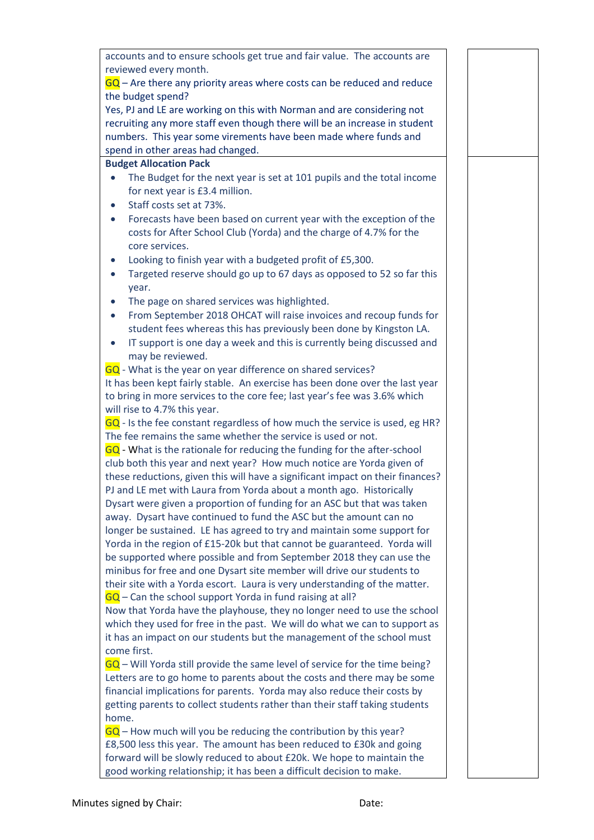accounts and to ensure schools get true and fair value. The accounts are reviewed every month.  $GQ$  – Are there any priority areas where costs can be reduced and reduce the budget spend? Yes, PJ and LE are working on this with Norman and are considering not recruiting any more staff even though there will be an increase in student numbers. This year some virements have been made where funds and spend in other areas had changed. **Budget Allocation Pack** The Budget for the next year is set at 101 pupils and the total income for next year is £3.4 million. Staff costs set at 73%. Forecasts have been based on current year with the exception of the costs for After School Club (Yorda) and the charge of 4.7% for the core services. Looking to finish year with a budgeted profit of £5,300. • Targeted reserve should go up to 67 days as opposed to 52 so far this year. • The page on shared services was highlighted. From September 2018 OHCAT will raise invoices and recoup funds for student fees whereas this has previously been done by Kingston LA. IT support is one day a week and this is currently being discussed and may be reviewed. GQ - What is the year on year difference on shared services? It has been kept fairly stable. An exercise has been done over the last year to bring in more services to the core fee; last year's fee was 3.6% which will rise to 4.7% this year. GQ - Is the fee constant regardless of how much the service is used, eg HR? The fee remains the same whether the service is used or not. GQ - What is the rationale for reducing the funding for the after-school club both this year and next year? How much notice are Yorda given of these reductions, given this will have a significant impact on their finances? PJ and LE met with Laura from Yorda about a month ago. Historically Dysart were given a proportion of funding for an ASC but that was taken away. Dysart have continued to fund the ASC but the amount can no longer be sustained. LE has agreed to try and maintain some support for Yorda in the region of £15-20k but that cannot be guaranteed. Yorda will be supported where possible and from September 2018 they can use the minibus for free and one Dysart site member will drive our students to their site with a Yorda escort. Laura is very understanding of the matter.  $GG - Can$  the school support Yorda in fund raising at all? Now that Yorda have the playhouse, they no longer need to use the school which they used for free in the past. We will do what we can to support as it has an impact on our students but the management of the school must come first. GQ – Will Yorda still provide the same level of service for the time being? Letters are to go home to parents about the costs and there may be some financial implications for parents. Yorda may also reduce their costs by getting parents to collect students rather than their staff taking students home.  $GG$  – How much will you be reducing the contribution by this year? £8,500 less this year. The amount has been reduced to £30k and going forward will be slowly reduced to about £20k. We hope to maintain the good working relationship; it has been a difficult decision to make.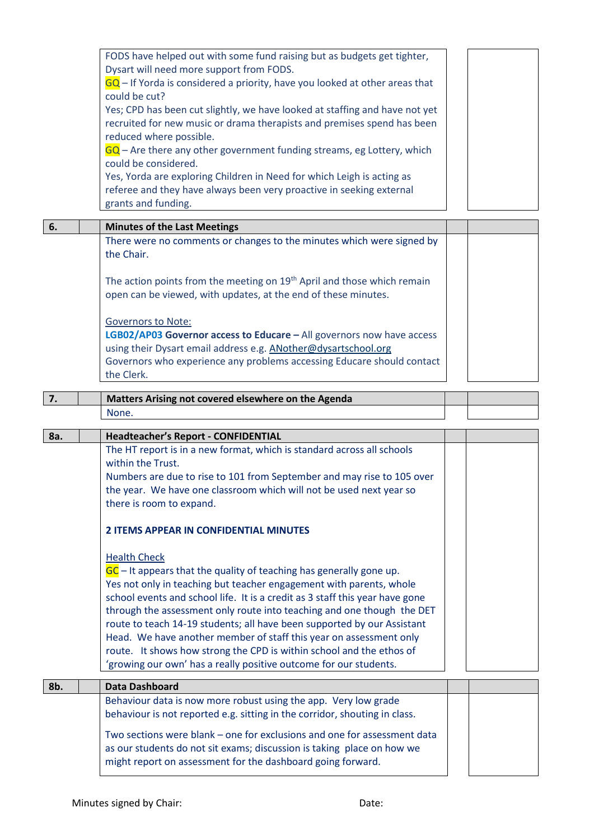|     | FODS have helped out with some fund raising but as budgets get tighter,<br>Dysart will need more support from FODS.<br>GQ - If Yorda is considered a priority, have you looked at other areas that<br>could be cut?<br>Yes; CPD has been cut slightly, we have looked at staffing and have not yet                                                                                                                                                                                                                                                                                                                          |  |
|-----|-----------------------------------------------------------------------------------------------------------------------------------------------------------------------------------------------------------------------------------------------------------------------------------------------------------------------------------------------------------------------------------------------------------------------------------------------------------------------------------------------------------------------------------------------------------------------------------------------------------------------------|--|
|     | recruited for new music or drama therapists and premises spend has been<br>reduced where possible.<br>$GQ$ – Are there any other government funding streams, eg Lottery, which<br>could be considered.                                                                                                                                                                                                                                                                                                                                                                                                                      |  |
|     | Yes, Yorda are exploring Children in Need for which Leigh is acting as<br>referee and they have always been very proactive in seeking external<br>grants and funding.                                                                                                                                                                                                                                                                                                                                                                                                                                                       |  |
| 6.  | <b>Minutes of the Last Meetings</b>                                                                                                                                                                                                                                                                                                                                                                                                                                                                                                                                                                                         |  |
|     | There were no comments or changes to the minutes which were signed by<br>the Chair.                                                                                                                                                                                                                                                                                                                                                                                                                                                                                                                                         |  |
|     | The action points from the meeting on 19 <sup>th</sup> April and those which remain<br>open can be viewed, with updates, at the end of these minutes.                                                                                                                                                                                                                                                                                                                                                                                                                                                                       |  |
|     | <b>Governors to Note:</b><br>LGB02/AP03 Governor access to Educare - All governors now have access<br>using their Dysart email address e.g. ANother@dysartschool.org<br>Governors who experience any problems accessing Educare should contact<br>the Clerk.                                                                                                                                                                                                                                                                                                                                                                |  |
| 7.  | Matters Arising not covered elsewhere on the Agenda                                                                                                                                                                                                                                                                                                                                                                                                                                                                                                                                                                         |  |
|     |                                                                                                                                                                                                                                                                                                                                                                                                                                                                                                                                                                                                                             |  |
|     | None.                                                                                                                                                                                                                                                                                                                                                                                                                                                                                                                                                                                                                       |  |
|     |                                                                                                                                                                                                                                                                                                                                                                                                                                                                                                                                                                                                                             |  |
| 8a. | <b>Headteacher's Report - CONFIDENTIAL</b><br>The HT report is in a new format, which is standard across all schools<br>within the Trust.<br>Numbers are due to rise to 101 from September and may rise to 105 over<br>the year. We have one classroom which will not be used next year so<br>there is room to expand.                                                                                                                                                                                                                                                                                                      |  |
|     | <b>2 ITEMS APPEAR IN CONFIDENTIAL MINUTES</b>                                                                                                                                                                                                                                                                                                                                                                                                                                                                                                                                                                               |  |
|     | <b>Health Check</b><br>$GC$ – It appears that the quality of teaching has generally gone up.<br>Yes not only in teaching but teacher engagement with parents, whole<br>school events and school life. It is a credit as 3 staff this year have gone<br>through the assessment only route into teaching and one though the DET<br>route to teach 14-19 students; all have been supported by our Assistant<br>Head. We have another member of staff this year on assessment only<br>route. It shows how strong the CPD is within school and the ethos of<br>'growing our own' has a really positive outcome for our students. |  |
| 8b. | <b>Data Dashboard</b>                                                                                                                                                                                                                                                                                                                                                                                                                                                                                                                                                                                                       |  |
|     | Behaviour data is now more robust using the app. Very low grade<br>behaviour is not reported e.g. sitting in the corridor, shouting in class.                                                                                                                                                                                                                                                                                                                                                                                                                                                                               |  |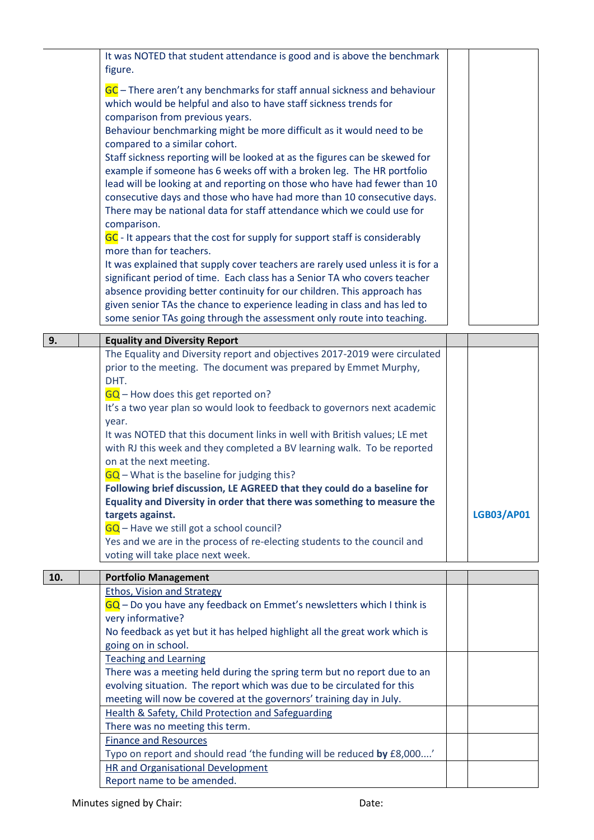|     | It was NOTED that student attendance is good and is above the benchmark                                                                                     |                   |
|-----|-------------------------------------------------------------------------------------------------------------------------------------------------------------|-------------------|
|     | figure.                                                                                                                                                     |                   |
|     | GC – There aren't any benchmarks for staff annual sickness and behaviour                                                                                    |                   |
|     | which would be helpful and also to have staff sickness trends for                                                                                           |                   |
|     | comparison from previous years.                                                                                                                             |                   |
|     | Behaviour benchmarking might be more difficult as it would need to be                                                                                       |                   |
|     | compared to a similar cohort.                                                                                                                               |                   |
|     | Staff sickness reporting will be looked at as the figures can be skewed for                                                                                 |                   |
|     | example if someone has 6 weeks off with a broken leg. The HR portfolio                                                                                      |                   |
|     | lead will be looking at and reporting on those who have had fewer than 10                                                                                   |                   |
|     | consecutive days and those who have had more than 10 consecutive days.                                                                                      |                   |
|     | There may be national data for staff attendance which we could use for                                                                                      |                   |
|     | comparison.                                                                                                                                                 |                   |
|     | GC - It appears that the cost for supply for support staff is considerably                                                                                  |                   |
|     | more than for teachers.                                                                                                                                     |                   |
|     | It was explained that supply cover teachers are rarely used unless it is for a<br>significant period of time. Each class has a Senior TA who covers teacher |                   |
|     | absence providing better continuity for our children. This approach has                                                                                     |                   |
|     | given senior TAs the chance to experience leading in class and has led to                                                                                   |                   |
|     | some senior TAs going through the assessment only route into teaching.                                                                                      |                   |
|     |                                                                                                                                                             |                   |
| 9.  | <b>Equality and Diversity Report</b>                                                                                                                        |                   |
|     | The Equality and Diversity report and objectives 2017-2019 were circulated                                                                                  |                   |
|     | prior to the meeting. The document was prepared by Emmet Murphy,<br>DHT.                                                                                    |                   |
|     | $GQ$ – How does this get reported on?                                                                                                                       |                   |
|     | It's a two year plan so would look to feedback to governors next academic                                                                                   |                   |
|     | year.                                                                                                                                                       |                   |
|     | It was NOTED that this document links in well with British values; LE met                                                                                   |                   |
|     | with RJ this week and they completed a BV learning walk. To be reported                                                                                     |                   |
|     | on at the next meeting.                                                                                                                                     |                   |
|     | GQ - What is the baseline for judging this?                                                                                                                 |                   |
|     | Following brief discussion, LE AGREED that they could do a baseline for                                                                                     |                   |
|     | Equality and Diversity in order that there was something to measure the                                                                                     |                   |
|     | targets against.                                                                                                                                            | <b>LGB03/AP01</b> |
|     | $GQ$ – Have we still got a school council?                                                                                                                  |                   |
|     | Yes and we are in the process of re-electing students to the council and<br>voting will take place next week.                                               |                   |
|     |                                                                                                                                                             |                   |
| 10. | <b>Portfolio Management</b>                                                                                                                                 |                   |
|     | <b>Ethos, Vision and Strategy</b>                                                                                                                           |                   |
|     | $GQ$ – Do you have any feedback on Emmet's newsletters which I think is                                                                                     |                   |
|     | very informative?                                                                                                                                           |                   |
|     | No feedback as yet but it has helped highlight all the great work which is<br>going on in school.                                                           |                   |
|     | <b>Teaching and Learning</b>                                                                                                                                |                   |
|     | There was a meeting held during the spring term but no report due to an                                                                                     |                   |
|     | evolving situation. The report which was due to be circulated for this                                                                                      |                   |
|     | meeting will now be covered at the governors' training day in July.                                                                                         |                   |
|     | Health & Safety, Child Protection and Safeguarding                                                                                                          |                   |
|     | There was no meeting this term.                                                                                                                             |                   |
|     | <b>Finance and Resources</b>                                                                                                                                |                   |
|     | Typo on report and should read 'the funding will be reduced by £8,000'                                                                                      |                   |
|     | <b>HR and Organisational Development</b>                                                                                                                    |                   |

Report name to be amended.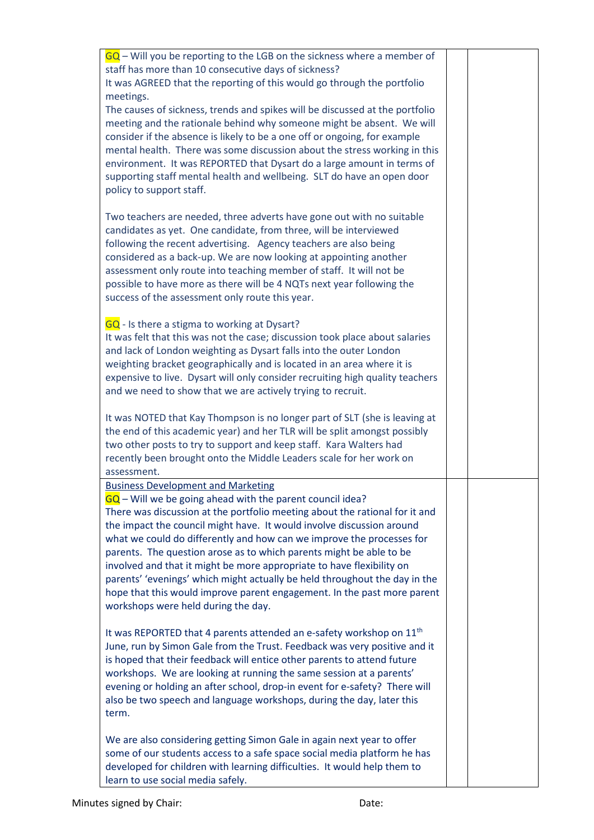| $GQ$ – Will you be reporting to the LGB on the sickness where a member of<br>staff has more than 10 consecutive days of sickness?<br>It was AGREED that the reporting of this would go through the portfolio<br>meetings.<br>The causes of sickness, trends and spikes will be discussed at the portfolio<br>meeting and the rationale behind why someone might be absent. We will<br>consider if the absence is likely to be a one off or ongoing, for example<br>mental health. There was some discussion about the stress working in this<br>environment. It was REPORTED that Dysart do a large amount in terms of<br>supporting staff mental health and wellbeing. SLT do have an open door<br>policy to support staff. |  |
|------------------------------------------------------------------------------------------------------------------------------------------------------------------------------------------------------------------------------------------------------------------------------------------------------------------------------------------------------------------------------------------------------------------------------------------------------------------------------------------------------------------------------------------------------------------------------------------------------------------------------------------------------------------------------------------------------------------------------|--|
| Two teachers are needed, three adverts have gone out with no suitable<br>candidates as yet. One candidate, from three, will be interviewed<br>following the recent advertising. Agency teachers are also being<br>considered as a back-up. We are now looking at appointing another<br>assessment only route into teaching member of staff. It will not be<br>possible to have more as there will be 4 NQTs next year following the<br>success of the assessment only route this year.                                                                                                                                                                                                                                       |  |
| GQ - Is there a stigma to working at Dysart?<br>It was felt that this was not the case; discussion took place about salaries<br>and lack of London weighting as Dysart falls into the outer London<br>weighting bracket geographically and is located in an area where it is<br>expensive to live. Dysart will only consider recruiting high quality teachers<br>and we need to show that we are actively trying to recruit.                                                                                                                                                                                                                                                                                                 |  |
| It was NOTED that Kay Thompson is no longer part of SLT (she is leaving at<br>the end of this academic year) and her TLR will be split amongst possibly<br>two other posts to try to support and keep staff. Kara Walters had<br>recently been brought onto the Middle Leaders scale for her work on<br>assessment.                                                                                                                                                                                                                                                                                                                                                                                                          |  |
| <b>Business Development and Marketing</b><br>$GQ$ – Will we be going ahead with the parent council idea?<br>There was discussion at the portfolio meeting about the rational for it and<br>the impact the council might have. It would involve discussion around<br>what we could do differently and how can we improve the processes for<br>parents. The question arose as to which parents might be able to be<br>involved and that it might be more appropriate to have flexibility on<br>parents' 'evenings' which might actually be held throughout the day in the<br>hope that this would improve parent engagement. In the past more parent<br>workshops were held during the day.                                    |  |
| It was REPORTED that 4 parents attended an e-safety workshop on 11 <sup>th</sup><br>June, run by Simon Gale from the Trust. Feedback was very positive and it<br>is hoped that their feedback will entice other parents to attend future<br>workshops. We are looking at running the same session at a parents'<br>evening or holding an after school, drop-in event for e-safety? There will<br>also be two speech and language workshops, during the day, later this<br>term.                                                                                                                                                                                                                                              |  |
| We are also considering getting Simon Gale in again next year to offer<br>some of our students access to a safe space social media platform he has<br>developed for children with learning difficulties. It would help them to<br>learn to use social media safely.                                                                                                                                                                                                                                                                                                                                                                                                                                                          |  |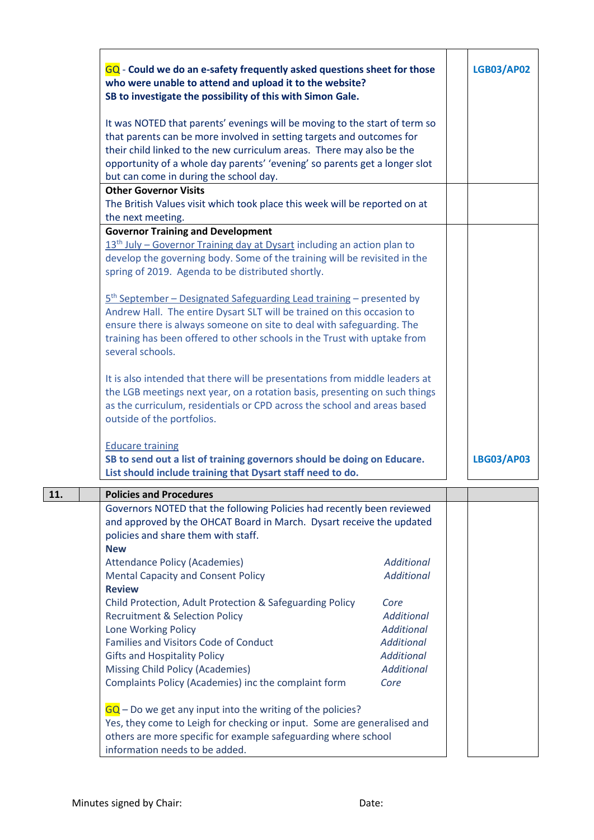|     | GQ - Could we do an e-safety frequently asked questions sheet for those<br>who were unable to attend and upload it to the website?<br>SB to investigate the possibility of this with Simon Gale.                                                                                                                                                     |                           | <b>LGB03/AP02</b> |
|-----|------------------------------------------------------------------------------------------------------------------------------------------------------------------------------------------------------------------------------------------------------------------------------------------------------------------------------------------------------|---------------------------|-------------------|
|     | It was NOTED that parents' evenings will be moving to the start of term so<br>that parents can be more involved in setting targets and outcomes for<br>their child linked to the new curriculum areas. There may also be the<br>opportunity of a whole day parents' 'evening' so parents get a longer slot<br>but can come in during the school day. |                           |                   |
|     | <b>Other Governor Visits</b><br>The British Values visit which took place this week will be reported on at                                                                                                                                                                                                                                           |                           |                   |
|     | the next meeting.                                                                                                                                                                                                                                                                                                                                    |                           |                   |
|     | <b>Governor Training and Development</b><br>$13th$ July – Governor Training day at Dysart including an action plan to<br>develop the governing body. Some of the training will be revisited in the<br>spring of 2019. Agenda to be distributed shortly.                                                                                              |                           |                   |
|     | 5 <sup>th</sup> September – Designated Safeguarding Lead training – presented by<br>Andrew Hall. The entire Dysart SLT will be trained on this occasion to<br>ensure there is always someone on site to deal with safeguarding. The<br>training has been offered to other schools in the Trust with uptake from<br>several schools.                  |                           |                   |
|     | It is also intended that there will be presentations from middle leaders at<br>the LGB meetings next year, on a rotation basis, presenting on such things<br>as the curriculum, residentials or CPD across the school and areas based<br>outside of the portfolios.                                                                                  |                           |                   |
|     | <b>Educare training</b><br>SB to send out a list of training governors should be doing on Educare.<br>List should include training that Dysart staff need to do.                                                                                                                                                                                     |                           | <b>LBG03/AP03</b> |
| 11. | <b>Policies and Procedures</b>                                                                                                                                                                                                                                                                                                                       |                           |                   |
|     | Governors NOTED that the following Policies had recently been reviewed<br>and approved by the OHCAT Board in March. Dysart receive the updated<br>policies and share them with staff.<br><b>New</b>                                                                                                                                                  |                           |                   |
|     | <b>Attendance Policy (Academies)</b>                                                                                                                                                                                                                                                                                                                 | <b>Additional</b>         |                   |
|     | <b>Mental Capacity and Consent Policy</b>                                                                                                                                                                                                                                                                                                            | <b>Additional</b>         |                   |
|     | <b>Review</b>                                                                                                                                                                                                                                                                                                                                        |                           |                   |
|     | Child Protection, Adult Protection & Safeguarding Policy<br><b>Recruitment &amp; Selection Policy</b>                                                                                                                                                                                                                                                | Core<br><b>Additional</b> |                   |
|     | Lone Working Policy                                                                                                                                                                                                                                                                                                                                  | <b>Additional</b>         |                   |
|     | <b>Families and Visitors Code of Conduct</b>                                                                                                                                                                                                                                                                                                         | <b>Additional</b>         |                   |
|     | <b>Gifts and Hospitality Policy</b>                                                                                                                                                                                                                                                                                                                  | <b>Additional</b>         |                   |
|     | Missing Child Policy (Academies)                                                                                                                                                                                                                                                                                                                     | <b>Additional</b>         |                   |
|     | Complaints Policy (Academies) inc the complaint form                                                                                                                                                                                                                                                                                                 | Core                      |                   |
|     | $GQ$ – Do we get any input into the writing of the policies?<br>Yes, they come to Leigh for checking or input. Some are generalised and<br>others are more specific for example safeguarding where school<br>information needs to be added.                                                                                                          |                           |                   |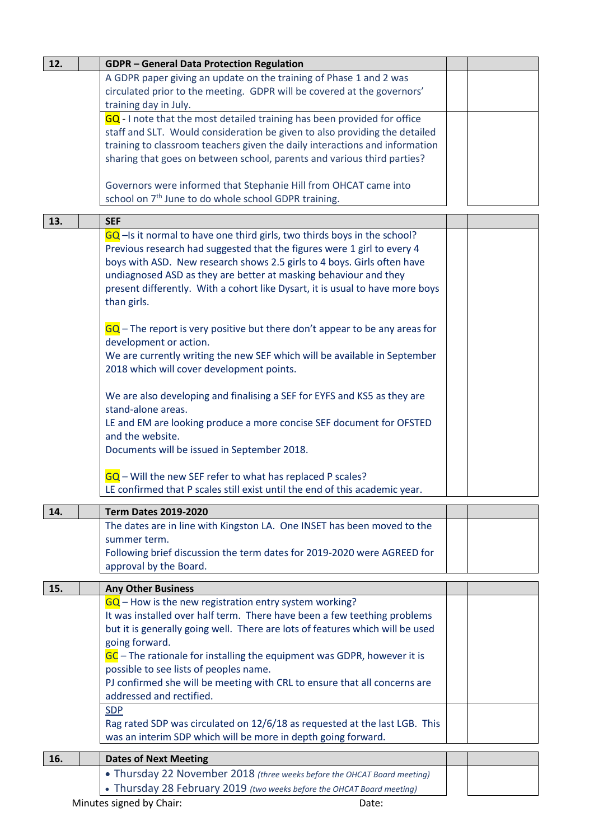| 12. | <b>GDPR-General Data Protection Regulation</b>                                |  |
|-----|-------------------------------------------------------------------------------|--|
|     | A GDPR paper giving an update on the training of Phase 1 and 2 was            |  |
|     | circulated prior to the meeting. GDPR will be covered at the governors'       |  |
|     | training day in July.                                                         |  |
|     | GQ - I note that the most detailed training has been provided for office      |  |
|     | staff and SLT. Would consideration be given to also providing the detailed    |  |
|     | training to classroom teachers given the daily interactions and information   |  |
|     | sharing that goes on between school, parents and various third parties?       |  |
|     |                                                                               |  |
|     | Governors were informed that Stephanie Hill from OHCAT came into              |  |
|     | school on 7 <sup>th</sup> June to do whole school GDPR training.              |  |
|     |                                                                               |  |
| 13. | <b>SEF</b>                                                                    |  |
|     | GQ -Is it normal to have one third girls, two thirds boys in the school?      |  |
|     | Previous research had suggested that the figures were 1 girl to every 4       |  |
|     | boys with ASD. New research shows 2.5 girls to 4 boys. Girls often have       |  |
|     | undiagnosed ASD as they are better at masking behaviour and they              |  |
|     | present differently. With a cohort like Dysart, it is usual to have more boys |  |
|     | than girls.                                                                   |  |
|     |                                                                               |  |
|     | $GG$ – The report is very positive but there don't appear to be any areas for |  |
|     | development or action.                                                        |  |
|     |                                                                               |  |
|     | We are currently writing the new SEF which will be available in September     |  |
|     | 2018 which will cover development points.                                     |  |
|     |                                                                               |  |
|     | We are also developing and finalising a SEF for EYFS and KS5 as they are      |  |
|     | stand-alone areas.                                                            |  |
|     | LE and EM are looking produce a more concise SEF document for OFSTED          |  |
|     | and the website.                                                              |  |
|     | Documents will be issued in September 2018.                                   |  |
|     |                                                                               |  |
|     | $GQ$ – Will the new SEF refer to what has replaced P scales?                  |  |
|     | LE confirmed that P scales still exist until the end of this academic year.   |  |
| 14. | <b>Term Dates 2019-2020</b>                                                   |  |
|     | The dates are in line with Kingston LA. One INSET has been moved to the       |  |
|     | summer term.                                                                  |  |
|     | Following brief discussion the term dates for 2019-2020 were AGREED for       |  |
|     | approval by the Board.                                                        |  |
|     |                                                                               |  |
| 15. | <b>Any Other Business</b>                                                     |  |
|     | $\overline{GQ}$ – How is the new registration entry system working?           |  |
|     | It was installed over half term. There have been a few teething problems      |  |
|     | but it is generally going well. There are lots of features which will be used |  |
|     | going forward.                                                                |  |
|     | GC - The rationale for installing the equipment was GDPR, however it is       |  |
|     | possible to see lists of peoples name.                                        |  |
|     | PJ confirmed she will be meeting with CRL to ensure that all concerns are     |  |
|     | addressed and rectified.                                                      |  |
|     | <b>SDP</b>                                                                    |  |
|     | Rag rated SDP was circulated on 12/6/18 as requested at the last LGB. This    |  |
|     | was an interim SDP which will be more in depth going forward.                 |  |
|     |                                                                               |  |
| 16. | <b>Dates of Next Meeting</b>                                                  |  |
|     | • Thursday 22 November 2018 (three weeks before the OHCAT Board meeting)      |  |
|     | • Thursday 28 February 2019 (two weeks before the OHCAT Board meeting)        |  |
|     | Minutes signed by Chair:<br>Date:                                             |  |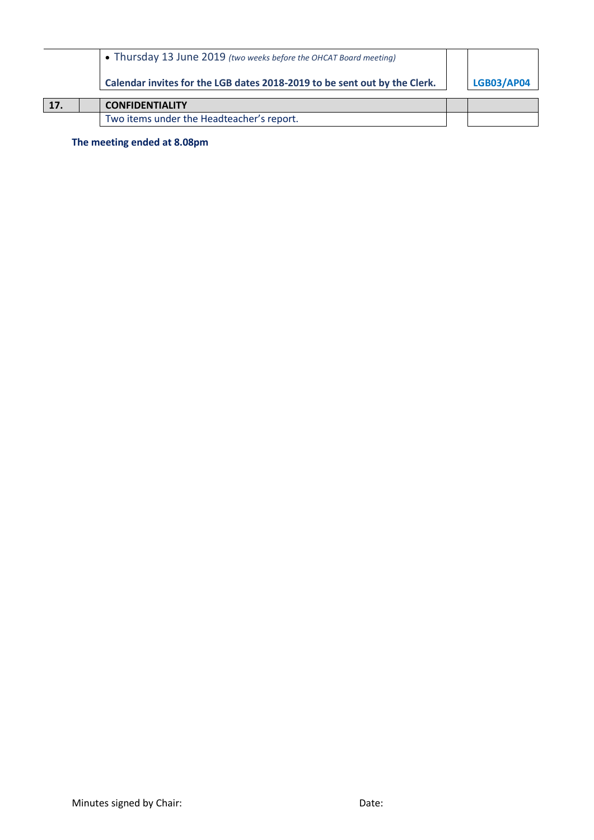|     | • Thursday 13 June 2019 (two weeks before the OHCAT Board meeting)        |                   |
|-----|---------------------------------------------------------------------------|-------------------|
|     | Calendar invites for the LGB dates 2018-2019 to be sent out by the Clerk. | <b>LGB03/AP04</b> |
| 17. | <b>CONFIDENTIALITY</b>                                                    |                   |
|     | Two items under the Headteacher's report.                                 |                   |

**The meeting ended at 8.08pm**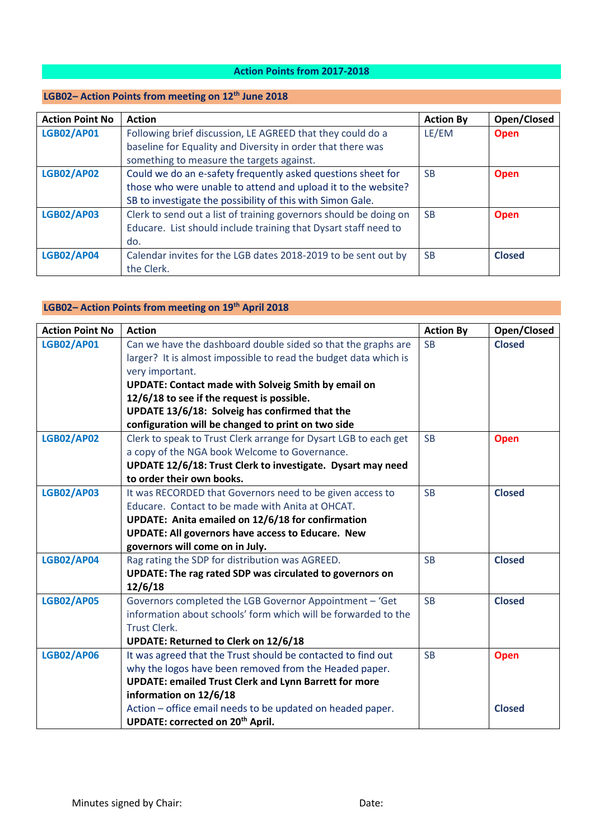## **Action Points from 2017-2018**

# **LGB02– Action Points from meeting on 12th June 2018**

| <b>Action Point No</b> | <b>Action</b>                                                     | <b>Action By</b> | Open/Closed   |
|------------------------|-------------------------------------------------------------------|------------------|---------------|
| <b>LGB02/AP01</b>      | Following brief discussion, LE AGREED that they could do a        | LE/EM            | <b>Open</b>   |
|                        | baseline for Equality and Diversity in order that there was       |                  |               |
|                        | something to measure the targets against.                         |                  |               |
| <b>LGB02/AP02</b>      | Could we do an e-safety frequently asked questions sheet for      | <b>SB</b>        | <b>Open</b>   |
|                        | those who were unable to attend and upload it to the website?     |                  |               |
|                        | SB to investigate the possibility of this with Simon Gale.        |                  |               |
| <b>LGB02/AP03</b>      | Clerk to send out a list of training governors should be doing on | <b>SB</b>        | <b>Open</b>   |
|                        | Educare. List should include training that Dysart staff need to   |                  |               |
|                        | do.                                                               |                  |               |
| <b>LGB02/AP04</b>      | Calendar invites for the LGB dates 2018-2019 to be sent out by    | <b>SB</b>        | <b>Closed</b> |
|                        | the Clerk.                                                        |                  |               |

# **LGB02– Action Points from meeting on 19th April 2018**

| <b>Action Point No</b> | <b>Action</b>                                                    | <b>Action By</b> | Open/Closed   |
|------------------------|------------------------------------------------------------------|------------------|---------------|
| <b>LGB02/AP01</b>      | Can we have the dashboard double sided so that the graphs are    | <b>SB</b>        | <b>Closed</b> |
|                        | larger? It is almost impossible to read the budget data which is |                  |               |
|                        | very important.                                                  |                  |               |
|                        | <b>UPDATE: Contact made with Solveig Smith by email on</b>       |                  |               |
|                        | 12/6/18 to see if the request is possible.                       |                  |               |
|                        | UPDATE 13/6/18: Solveig has confirmed that the                   |                  |               |
|                        | configuration will be changed to print on two side               |                  |               |
| <b>LGB02/AP02</b>      | Clerk to speak to Trust Clerk arrange for Dysart LGB to each get | <b>SB</b>        | <b>Open</b>   |
|                        | a copy of the NGA book Welcome to Governance.                    |                  |               |
|                        | UPDATE 12/6/18: Trust Clerk to investigate. Dysart may need      |                  |               |
|                        | to order their own books.                                        |                  |               |
| <b>LGB02/AP03</b>      | It was RECORDED that Governors need to be given access to        | <b>SB</b>        | <b>Closed</b> |
|                        | Educare. Contact to be made with Anita at OHCAT.                 |                  |               |
|                        | UPDATE: Anita emailed on 12/6/18 for confirmation                |                  |               |
|                        | <b>UPDATE: All governors have access to Educare. New</b>         |                  |               |
|                        | governors will come on in July.                                  |                  |               |
| <b>LGB02/AP04</b>      | Rag rating the SDP for distribution was AGREED.                  | <b>SB</b>        | <b>Closed</b> |
|                        | UPDATE: The rag rated SDP was circulated to governors on         |                  |               |
|                        | 12/6/18                                                          |                  |               |
| <b>LGB02/AP05</b>      | Governors completed the LGB Governor Appointment - 'Get          | <b>SB</b>        | <b>Closed</b> |
|                        | information about schools' form which will be forwarded to the   |                  |               |
|                        | <b>Trust Clerk.</b>                                              |                  |               |
|                        | <b>UPDATE: Returned to Clerk on 12/6/18</b>                      |                  |               |
| <b>LGB02/AP06</b>      | It was agreed that the Trust should be contacted to find out     | <b>SB</b>        | <b>Open</b>   |
|                        | why the logos have been removed from the Headed paper.           |                  |               |
|                        | <b>UPDATE: emailed Trust Clerk and Lynn Barrett for more</b>     |                  |               |
|                        | information on 12/6/18                                           |                  |               |
|                        | Action - office email needs to be updated on headed paper.       |                  | <b>Closed</b> |
|                        | UPDATE: corrected on 20 <sup>th</sup> April.                     |                  |               |